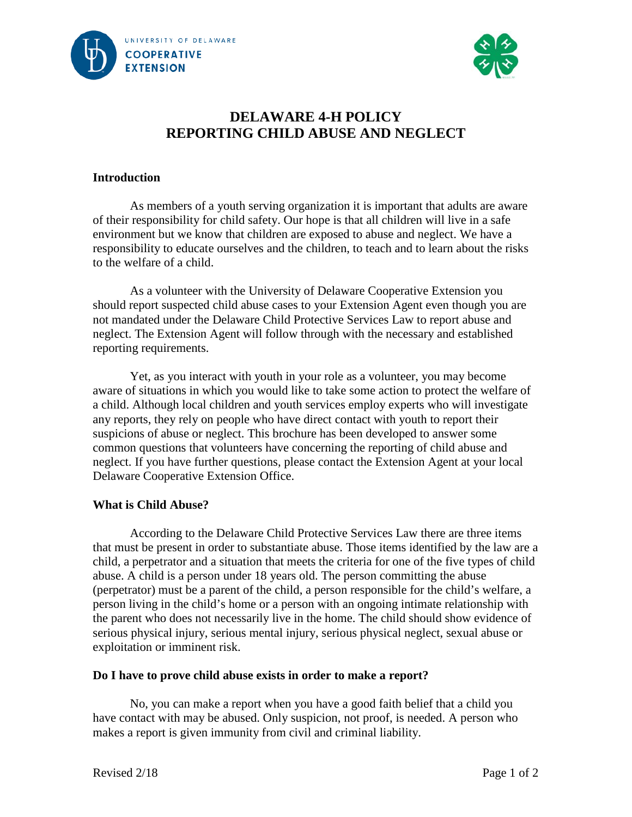



# **DELAWARE 4-H POLICY REPORTING CHILD ABUSE AND NEGLECT**

### **Introduction**

As members of a youth serving organization it is important that adults are aware of their responsibility for child safety. Our hope is that all children will live in a safe environment but we know that children are exposed to abuse and neglect. We have a responsibility to educate ourselves and the children, to teach and to learn about the risks to the welfare of a child.

As a volunteer with the University of Delaware Cooperative Extension you should report suspected child abuse cases to your Extension Agent even though you are not mandated under the Delaware Child Protective Services Law to report abuse and neglect. The Extension Agent will follow through with the necessary and established reporting requirements.

Yet, as you interact with youth in your role as a volunteer, you may become aware of situations in which you would like to take some action to protect the welfare of a child. Although local children and youth services employ experts who will investigate any reports, they rely on people who have direct contact with youth to report their suspicions of abuse or neglect. This brochure has been developed to answer some common questions that volunteers have concerning the reporting of child abuse and neglect. If you have further questions, please contact the Extension Agent at your local Delaware Cooperative Extension Office.

### **What is Child Abuse?**

According to the Delaware Child Protective Services Law there are three items that must be present in order to substantiate abuse. Those items identified by the law are a child, a perpetrator and a situation that meets the criteria for one of the five types of child abuse. A child is a person under 18 years old. The person committing the abuse (perpetrator) must be a parent of the child, a person responsible for the child's welfare, a person living in the child's home or a person with an ongoing intimate relationship with the parent who does not necessarily live in the home. The child should show evidence of serious physical injury, serious mental injury, serious physical neglect, sexual abuse or exploitation or imminent risk.

### **Do I have to prove child abuse exists in order to make a report?**

No, you can make a report when you have a good faith belief that a child you have contact with may be abused. Only suspicion, not proof, is needed. A person who makes a report is given immunity from civil and criminal liability.